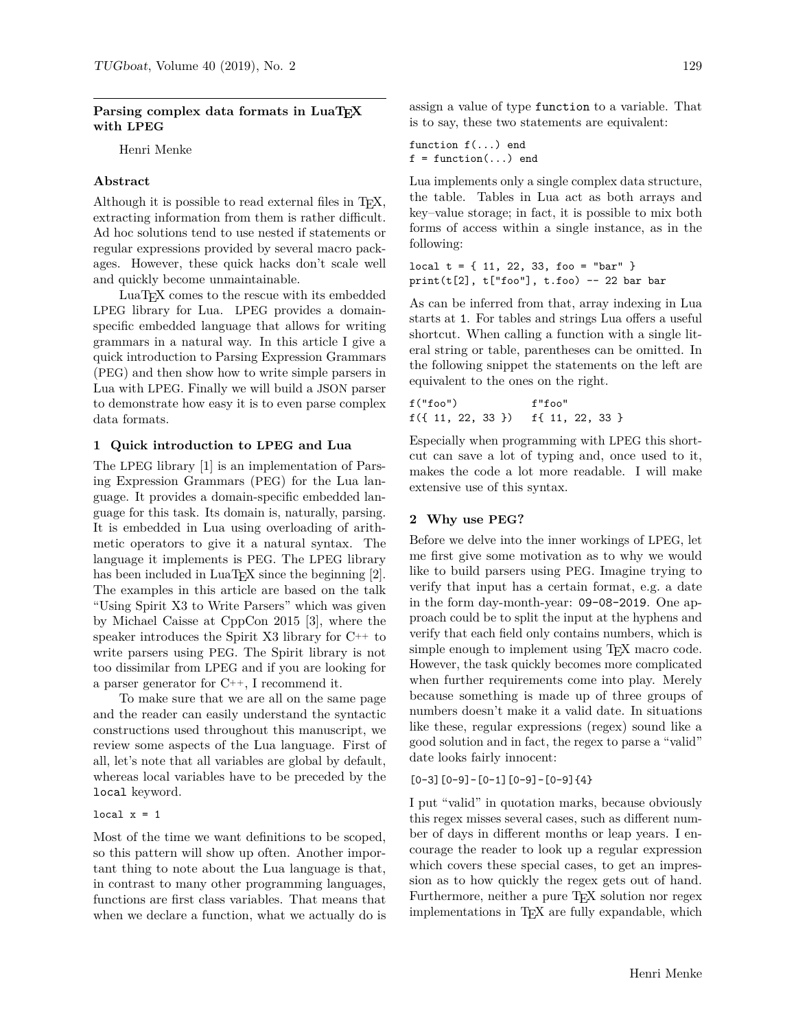# Parsing complex data formats in LuaT<sub>E</sub>X **with LPEG**

Henri Menke

#### **Abstract**

Although it is possible to read external files in  $T_F X$ , extracting information from them is rather difficult. Ad hoc solutions tend to use nested if statements or regular expressions provided by several macro packages. However, these quick hacks don't scale well and quickly become unmaintainable.

LuaTEX comes to the rescue with its embedded LPEG library for Lua. LPEG provides a domainspecific embedded language that allows for writing grammars in a natural way. In this article I give a quick introduction to Parsing Expression Grammars (PEG) and then show how to write simple parsers in Lua with LPEG. Finally we will build a JSON parser to demonstrate how easy it is to even parse complex data formats.

#### **1 Quick introduction to LPEG and Lua**

The LPEG library [1] is an implementation of Parsing Expression Grammars (PEG) for the Lua language. It provides a domain-specific embedded language for this task. Its domain is, naturally, parsing. It is embedded in Lua using overloading of arithmetic operators to give it a natural syntax. The language it implements is PEG. The LPEG library has been included in  $\text{LuaTrX}$  since the beginning [2]. The examples in this article are based on the talk "Using Spirit X3 to Write Parsers" which was given by Michael Caisse at CppCon 2015 [3], where the speaker introduces the Spirit X3 library for C++ to write parsers using PEG. The Spirit library is not too dissimilar from LPEG and if you are looking for a parser generator for C++, I recommend it.

To make sure that we are all on the same page and the reader can easily understand the syntactic constructions used throughout this manuscript, we review some aspects of the Lua language. First of all, let's note that all variables are global by default, whereas local variables have to be preceded by the local keyword.

## local  $x = 1$

Most of the time we want definitions to be scoped, so this pattern will show up often. Another important thing to note about the Lua language is that, in contrast to many other programming languages, functions are first class variables. That means that when we declare a function, what we actually do is assign a value of type function to a variable. That is to say, these two statements are equivalent:

function f(...) end  $f = function(...)$  end

Lua implements only a single complex data structure, the table. Tables in Lua act as both arrays and key–value storage; in fact, it is possible to mix both forms of access within a single instance, as in the following:

local  $t = \{ 11, 22, 33, f \circ \circ = "bar" \}$  $print(t[2], t["foo"]$ ,  $t.foo)$  -- 22 bar bar

As can be inferred from that, array indexing in Lua starts at 1. For tables and strings Lua offers a useful shortcut. When calling a function with a single literal string or table, parentheses can be omitted. In the following snippet the statements on the left are equivalent to the ones on the right.

f("foo") f"foo" f({ 11, 22, 33 }) f{ 11, 22, 33 }

Especially when programming with LPEG this shortcut can save a lot of typing and, once used to it, makes the code a lot more readable. I will make extensive use of this syntax.

#### **2 Why use PEG?**

Before we delve into the inner workings of LPEG, let me first give some motivation as to why we would like to build parsers using PEG. Imagine trying to verify that input has a certain format, e.g. a date in the form day-month-year: 09-08-2019. One approach could be to split the input at the hyphens and verify that each field only contains numbers, which is simple enough to implement using TEX macro code. However, the task quickly becomes more complicated when further requirements come into play. Merely because something is made up of three groups of numbers doesn't make it a valid date. In situations like these, regular expressions (regex) sound like a good solution and in fact, the regex to parse a "valid" date looks fairly innocent:

 $[0-3]$  $[0-9] - [0-1]$  $[0-9] - [0-9]$  $\{4\}$ 

I put "valid" in quotation marks, because obviously this regex misses several cases, such as different number of days in different months or leap years. I encourage the reader to look up a regular expression which covers these special cases, to get an impression as to how quickly the regex gets out of hand. Furthermore, neither a pure T<sub>E</sub>X solution nor regex implementations in T<sub>E</sub>X are fully expandable, which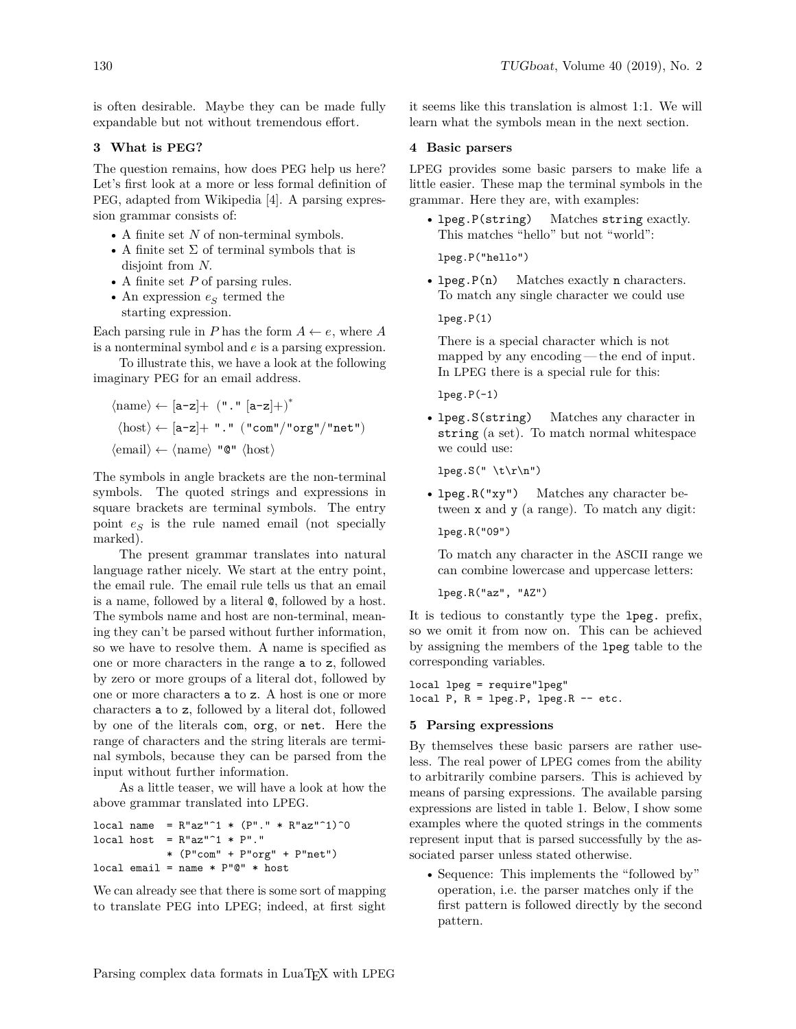is often desirable. Maybe they can be made fully expandable but not without tremendous effort.

# **3 What is PEG?**

The question remains, how does PEG help us here? Let's first look at a more or less formal definition of PEG, adapted from Wikipedia [4]. A parsing expression grammar consists of:

- A finite set  $N$  of non-terminal symbols.
- A finite set  $\Sigma$  of terminal symbols that is disjoint from  $N$ .
- A finite set  $P$  of parsing rules.
- An expression  $\boldsymbol{e}_{S}$  termed the starting expression.

Each parsing rule in P has the form  $A \leftarrow e$ , where A is a nonterminal symbol and  $e$  is a parsing expression.

To illustrate this, we have a look at the following imaginary PEG for an email address.

$$
\begin{aligned} \langle \mathrm{name}\rangle \leftarrow [a\text{-}z] + \ (\text{". "}\ [a\text{-}z] + \big)^* \\ \langle \mathrm{host}\rangle \leftarrow [a\text{-}z] + \ \text{". "}\ (\text{"com"}\text{/} \text{"org"}\text{/} \text{"net"} ) \\ \langle \mathrm{email}\rangle \leftarrow \langle \mathrm{name}\rangle \ \text{"@"}\langle \mathrm{host}\rangle \end{aligned}
$$

The symbols in angle brackets are the non-terminal symbols. The quoted strings and expressions in square brackets are terminal symbols. The entry point  $e_S$  is the rule named email (not specially marked).

The present grammar translates into natural language rather nicely. We start at the entry point, the email rule. The email rule tells us that an email is a name, followed by a literal @, followed by a host. The symbols name and host are non-terminal, meaning they can't be parsed without further information, so we have to resolve them. A name is specified as one or more characters in the range a to z, followed by zero or more groups of a literal dot, followed by one or more characters a to z. A host is one or more characters a to z, followed by a literal dot, followed by one of the literals com, org, or net. Here the range of characters and the string literals are terminal symbols, because they can be parsed from the input without further information.

As a little teaser, we will have a look at how the above grammar translated into LPEG.

```
local name = R''az''^1 * (P''.''' * R''az''^1)^0local host = R"az"<sup>1</sup> * P"."
             * (P"com" + P"org" + P"net")
local email = name * P"@" * host
```
We can already see that there is some sort of mapping to translate PEG into LPEG; indeed, at first sight it seems like this translation is almost 1:1. We will learn what the symbols mean in the next section.

## **4 Basic parsers**

LPEG provides some basic parsers to make life a little easier. These map the terminal symbols in the grammar. Here they are, with examples:

• lpeg.P(string) Matches string exactly. This matches "hello" but not "world":

lpeg.P("hello")

• lpeg.P(n) Matches exactly n characters. To match any single character we could use

lpeg.P(1)

There is a special character which is not mapped by any encoding— the end of input. In LPEG there is a special rule for this:

 $lpeg.P(-1)$ 

• lpeg.S(string) Matches any character in string (a set). To match normal whitespace we could use:

 $lpeg.S(" \t\trth' \r\nu")$ 

• lpeg.R("xy") Matches any character between x and y (a range). To match any digit:

lpeg.R("09")

To match any character in the ASCII range we can combine lowercase and uppercase letters:

lpeg.R("az", "AZ")

It is tedious to constantly type the lpeg. prefix, so we omit it from now on. This can be achieved by assigning the members of the lpeg table to the corresponding variables.

local lpeg = require"lpeg" local  $P$ ,  $R = \text{lpeg.P}$ ,  $\text{lpeg.R -- etc.}$ 

## **5 Parsing expressions**

By themselves these basic parsers are rather useless. The real power of LPEG comes from the ability to arbitrarily combine parsers. This is achieved by means of parsing expressions. The available parsing expressions are listed in table 1. Below, I show some examples where the quoted strings in the comments represent input that is parsed successfully by the associated parser unless stated otherwise.

• Sequence: This implements the "followed by" operation, i.e. the parser matches only if the first pattern is followed directly by the second pattern.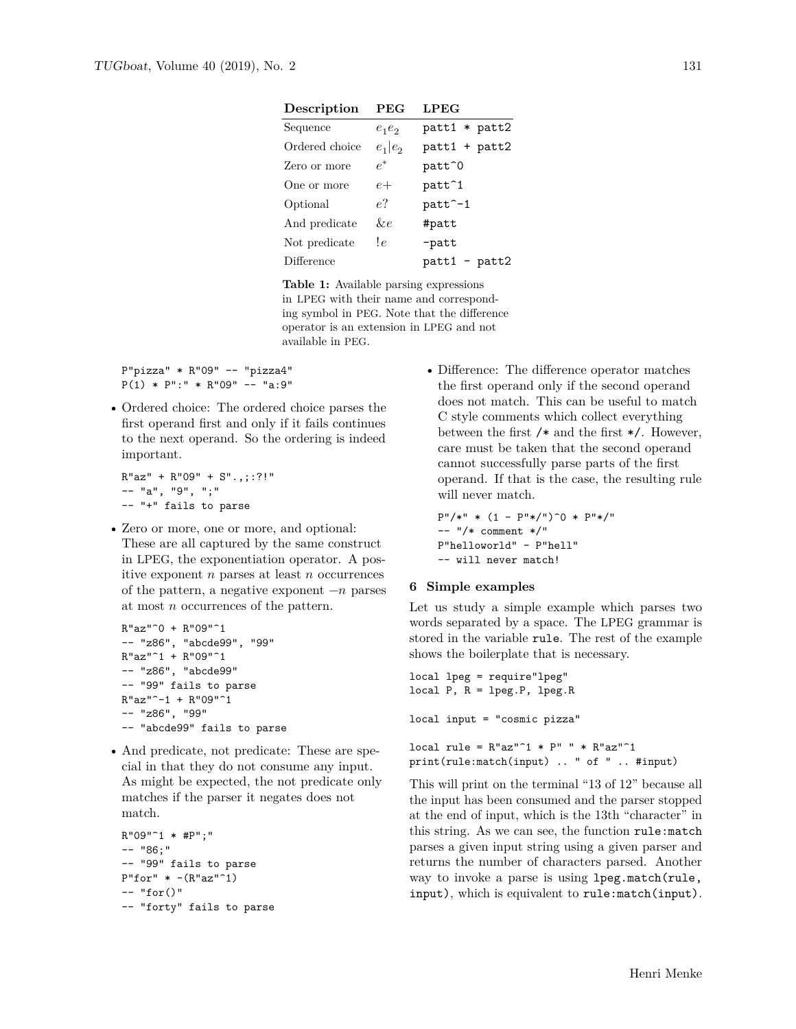| Description    | <b>PEG</b> | <b>LPEG</b>          |
|----------------|------------|----------------------|
| Sequence       | $e_1e_2$   | patt1 * patt2        |
| Ordered choice | $e_1 e_2$  | patt1 + patt2        |
| Zero or more   | $\rho^*$   | patt^0               |
| One or more    | $e+$       | patt <sup>2</sup> 1  |
| Optional       | e?         | patt <sup>2</sup> -1 |
| And predicate  | &е         | #patt                |
| Not predicate  | !e         | -patt                |
| Difference     |            | $patt1 - patt2$      |

**Table 1:** Available parsing expressions in LPEG with their name and corresponding symbol in PEG. Note that the difference operator is an extension in LPEG and not available in PEG.

P"pizza" \* R"09" -- "pizza4"  $P(1) * P$ ":" \* R"09" -- "a:9"

• Ordered choice: The ordered choice parses the first operand first and only if it fails continues to the next operand. So the ordering is indeed important.

 $R"az" + R"09" + S".,$ ;:?!" -- "a", "9", ";" -- "+" fails to parse

• Zero or more, one or more, and optional: These are all captured by the same construct in LPEG, the exponentiation operator. A positive exponent  $n$  parses at least  $n$  occurrences of the pattern, a negative exponent  $-n$  parses at most  $n$  occurrences of the pattern.

```
R"az"^0 + R"09"^1
-- "z86", "abcde99", "99"
R"az"^1 + R"09"^1-- "z86", "abcde99"
-- "99" fails to parse
R"az"<sup>-1</sup> + R"09"<sup>-1</sup>
-- "z86", "99"
-- "abcde99" fails to parse
```
• And predicate, not predicate: These are special in that they do not consume any input. As might be expected, the not predicate only matches if the parser it negates does not match.

```
R"09"^1 * #P";"
-- "86;"
-- "99" fails to parse
P"for" * -(R"az"^1)-- "for()"-- "forty" fails to parse
```
• Difference: The difference operator matches the first operand only if the second operand does not match. This can be useful to match C style comments which collect everything between the first  $/*$  and the first  $*/$ . However, care must be taken that the second operand cannot successfully parse parts of the first operand. If that is the case, the resulting rule will never match.

```
P''/*" * (1 - P''*/")<sup>^</sup>0 * P''*/"
-- "/* comment */"
P"helloworld" - P"hell"
-- will never match!
```
# **6 Simple examples**

Let us study a simple example which parses two words separated by a space. The LPEG grammar is stored in the variable rule. The rest of the example shows the boilerplate that is necessary.

```
local lpeg = require"lpeg"
local P, R = lpeg.P, lpeg.R
local input = "cosmic pizza"
local rule = R''ax''^1 * P'''' * R''ax''^1print(rule:match(input) .. " of " .. #input)
```
This will print on the terminal "13 of 12" because all the input has been consumed and the parser stopped at the end of input, which is the 13th "character" in this string. As we can see, the function rule:match parses a given input string using a given parser and returns the number of characters parsed. Another way to invoke a parse is using lpeg.match(rule, input), which is equivalent to rule:match(input).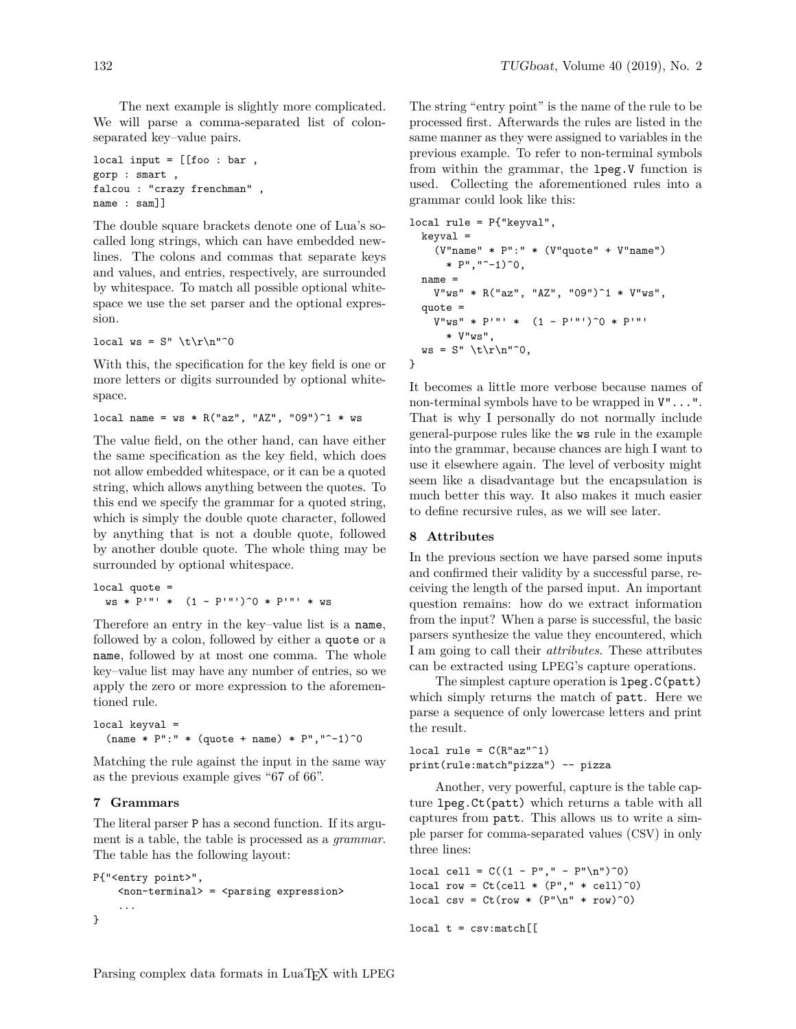The next example is slightly more complicated. We will parse a comma-separated list of colonseparated key–value pairs.

```
local input = [[foo : bar,
gorp : smart ,
falcou : "crazy frenchman" ,
name : sam]]
```
The double square brackets denote one of Lua's socalled long strings, which can have embedded newlines. The colons and commas that separate keys and values, and entries, respectively, are surrounded by whitespace. To match all possible optional whitespace we use the set parser and the optional expression.

```
local ws = S'' \t t\r^n^0
```
With this, the specification for the key field is one or more letters or digits surrounded by optional whitespace.

```
local name = ws * R("az", "AZ", "09")^1 * ws
```
The value field, on the other hand, can have either the same specification as the key field, which does not allow embedded whitespace, or it can be a quoted string, which allows anything between the quotes. To this end we specify the grammar for a quoted string, which is simply the double quote character, followed by anything that is not a double quote, followed by another double quote. The whole thing may be surrounded by optional whitespace.

```
local quote =
  ws * P'"' * (1 - P'')<sup>0</sup> * P'"' * ws
```
Therefore an entry in the key–value list is a name, followed by a colon, followed by either a quote or a name, followed by at most one comma. The whole key–value list may have any number of entries, so we apply the zero or more expression to the aforementioned rule.

```
local keyval =
  (name * P": " * (quote + name) * P", "^-1)^0
```
Matching the rule against the input in the same way as the previous example gives "67 of 66".

## **7 Grammars**

The literal parser P has a second function. If its argument is a table, the table is processed as a *grammar*. The table has the following layout:

```
P{"<entry point>",
    <non-terminal> = <parsing expression>
    ...
}
```
The string "entry point" is the name of the rule to be processed first. Afterwards the rules are listed in the same manner as they were assigned to variables in the previous example. To refer to non-terminal symbols from within the grammar, the lpeg.V function is used. Collecting the aforementioned rules into a grammar could look like this:

```
local rule = P{"keyval",
  keyval =
    (V"name" * P":" * (V"quote" + V"name")
      * P", "^-1)^0,
  name =
    V"ws" * R("az", "AZ", "09")^1 * V"ws",
  quote =
    V''ws'' * P'''' * (1 - P'''')^0 * P''''* V"ws",
  ws = S'' \t\trthinspace \t\trm2.
}
```
It becomes a little more verbose because names of non-terminal symbols have to be wrapped in V"...". That is why I personally do not normally include general-purpose rules like the ws rule in the example into the grammar, because chances are high I want to use it elsewhere again. The level of verbosity might seem like a disadvantage but the encapsulation is much better this way. It also makes it much easier to define recursive rules, as we will see later.

## **8 Attributes**

In the previous section we have parsed some inputs and confirmed their validity by a successful parse, receiving the length of the parsed input. An important question remains: how do we extract information from the input? When a parse is successful, the basic parsers synthesize the value they encountered, which I am going to call their *attributes*. These attributes can be extracted using LPEG's capture operations.

The simplest capture operation is lpeg.C(patt) which simply returns the match of patt. Here we parse a sequence of only lowercase letters and print the result.

local rule =  $C(R''ax''^1)$ print(rule:match"pizza") -- pizza

Another, very powerful, capture is the table capture lpeg.Ct(patt) which returns a table with all captures from patt. This allows us to write a simple parser for comma-separated values (CSV) in only three lines:

local cell =  $C((1 - P'', " - P''\n^n))^0)$ local row =  $Ct$ (cell  $*$  (P","  $*$  cell)<sup>^0</sup>) local csv =  $Ct$ (row \*  $(P''\n' * row)^0)$ 

 $local t = csv:match[[$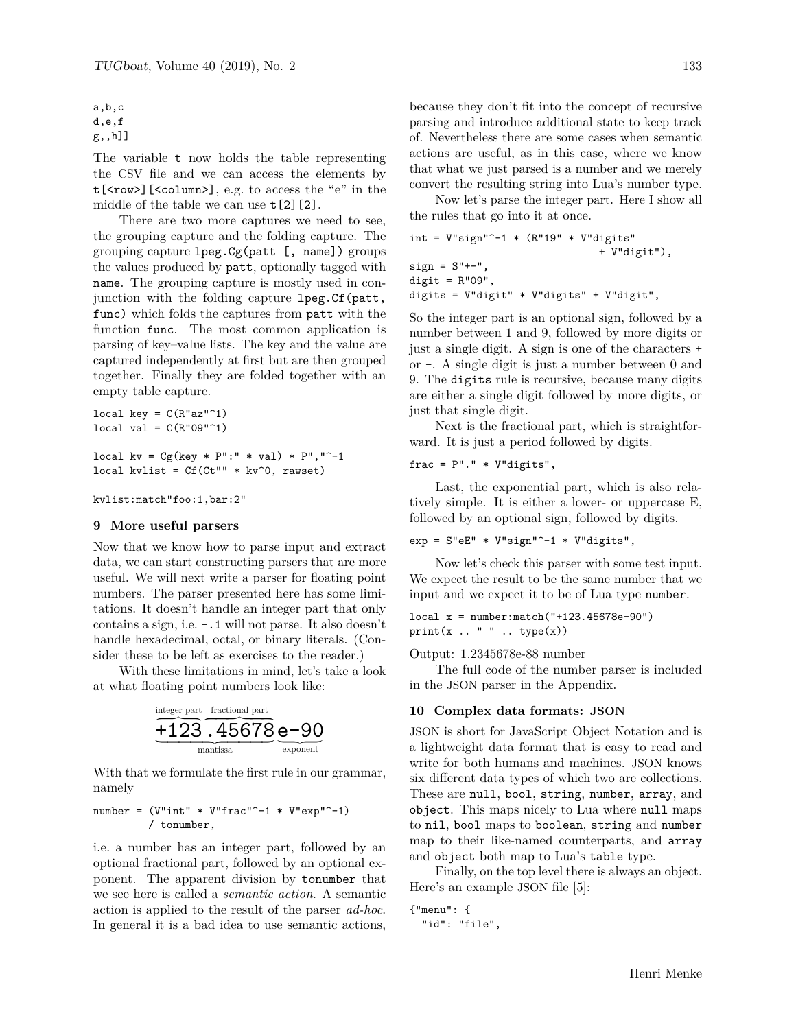```
a,b,c
d,e,f
g,,h]]
```
The variable t now holds the table representing the CSV file and we can access the elements by t[<row>][<column>], e.g. to access the "e" in the middle of the table we can use  $t[2][2]$ .

There are two more captures we need to see, the grouping capture and the folding capture. The grouping capture lpeg.Cg(patt [, name]) groups the values produced by patt, optionally tagged with name. The grouping capture is mostly used in conjunction with the folding capture lpeg.Cf(patt, func) which folds the captures from patt with the function func. The most common application is parsing of key–value lists. The key and the value are captured independently at first but are then grouped together. Finally they are folded together with an empty table capture.

```
local key = C(R''az''^1)local val = C(R"09"^1)local kv = Cg(key * P": " * val) * P", "^-1local kvlist = Cf(Ct"" * kv^0, rawset)
```
kvlist:match"foo:1,bar:2"

#### **9 More useful parsers**

Now that we know how to parse input and extract data, we can start constructing parsers that are more useful. We will next write a parser for floating point numbers. The parser presented here has some limitations. It doesn't handle an integer part that only contains a sign, i.e. -.1 will not parse. It also doesn't handle hexadecimal, octal, or binary literals. (Consider these to be left as exercises to the reader.)

With these limitations in mind, let's take a look at what floating point numbers look like:



With that we formulate the first rule in our grammar, namely

```
number = (V"int" * V"frac" - 1 * V"exp" - 1)/ tonumber,
```
i.e. a number has an integer part, followed by an optional fractional part, followed by an optional exponent. The apparent division by tonumber that we see here is called a *semantic action*. A semantic action is applied to the result of the parser *ad-hoc*. In general it is a bad idea to use semantic actions, because they don't fit into the concept of recursive parsing and introduce additional state to keep track of. Nevertheless there are some cases when semantic actions are useful, as in this case, where we know that what we just parsed is a number and we merely convert the resulting string into Lua's number type.

Now let's parse the integer part. Here I show all the rules that go into it at once.

```
int = V''sign"<sup>--1</sup> * (R''19'' * V''digits"
                                        + V"digit"),
sign = S''+-",\text{digit} = \mathbb{R}^109",
digits = V"digit" * V"digits" + V"digit",
```
So the integer part is an optional sign, followed by a number between 1 and 9, followed by more digits or just a single digit. A sign is one of the characters + or -. A single digit is just a number between 0 and 9. The digits rule is recursive, because many digits are either a single digit followed by more digits, or just that single digit.

Next is the fractional part, which is straightforward. It is just a period followed by digits.

frac =  $P''$ ." \*  $V''$ digits",

Last, the exponential part, which is also relatively simple. It is either a lower- or uppercase E, followed by an optional sign, followed by digits.

 $exp = S"eE" * V"sign"$ -1 \* V"digits",

Now let's check this parser with some test input. We expect the result to be the same number that we input and we expect it to be of Lua type number.

local x = number:match("+123.45678e-90")  $print(x ... " " ... type(x))$ 

Output: 1.2345678e-88 number

The full code of the number parser is included in the JSON parser in the Appendix.

#### **10 Complex data formats: JSON**

JSON is short for JavaScript Object Notation and is a lightweight data format that is easy to read and write for both humans and machines. JSON knows six different data types of which two are collections. These are null, bool, string, number, array, and object. This maps nicely to Lua where null maps to nil, bool maps to boolean, string and number map to their like-named counterparts, and array and object both map to Lua's table type.

Finally, on the top level there is always an object. Here's an example JSON file [5]:

```
{"menu": {
  "id": "file",
```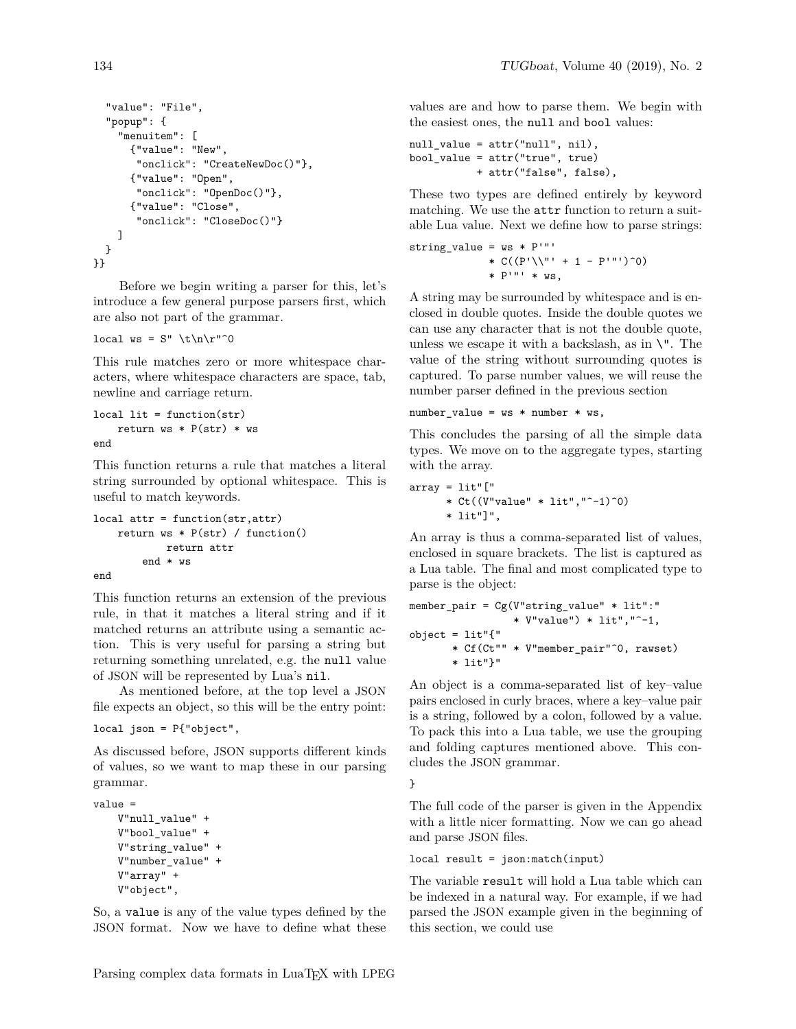```
"value": "File",
  "popup": {
    "menuitem": [
      {"value": "New",
       "onclick": "CreateNewDoc()"},
      {"value": "Open",
       "onclick": "OpenDoc()"},
      {"value": "Close",
       "onclick": "CloseDoc()"}
    ]
  }
}}
```
Before we begin writing a parser for this, let's introduce a few general purpose parsers first, which are also not part of the grammar.

local  $ws = S'' \lt h\ln\rr"$ <sup>0</sup>

This rule matches zero or more whitespace characters, where whitespace characters are space, tab, newline and carriage return.

```
local lit = function(str)
   return ws * P(str) * wsend
```
This function returns a rule that matches a literal string surrounded by optional whitespace. This is useful to match keywords.

```
local attr = function(str,attr)
    return ws * P(str) / function()return attr
        end * ws
end
```
This function returns an extension of the previous rule, in that it matches a literal string and if it matched returns an attribute using a semantic action. This is very useful for parsing a string but returning something unrelated, e.g. the null value of JSON will be represented by Lua's nil.

As mentioned before, at the top level a JSON file expects an object, so this will be the entry point:

```
local json = P{"object",
```
As discussed before, JSON supports different kinds of values, so we want to map these in our parsing grammar.

```
value =
    V"null_value" +
    V"bool_value" +
    V"string_value" +
    V"number_value" +
    V"array" +
    V"object",
```
So, a value is any of the value types defined by the JSON format. Now we have to define what these values are and how to parse them. We begin with the easiest ones, the null and bool values:

```
null_value = attr("null", nil),
bool_value = attr("true", true)
           + attr("false", false),
```
These two types are defined entirely by keyword matching. We use the attr function to return a suitable Lua value. Next we define how to parse strings:

```
string_value = ws * P''''* C((P' \backslash \vee' ' ' + 1 - P' ' '')^0)* P'"' * WS,
```
A string may be surrounded by whitespace and is enclosed in double quotes. Inside the double quotes we can use any character that is not the double quote, unless we escape it with a backslash, as in  $\Upsilon$ . The value of the string without surrounding quotes is captured. To parse number values, we will reuse the number parser defined in the previous section

```
number_value = ws * number * ws,
```
This concludes the parsing of all the simple data types. We move on to the aggregate types, starting with the array.

```
array = lit"["
      * Ct((V''value'' * lit'', "^-1)^0)* lit"]",
```
An array is thus a comma-separated list of values, enclosed in square brackets. The list is captured as a Lua table. The final and most complicated type to parse is the object:

```
member_pair = Cg(V"string_value" * lit":"
                 * V"value") * lit","^-1,
object = lit"{''* Cf(Ct"" * V"member_pair"^0, rawset)
       * lit"}"
```
An object is a comma-separated list of key–value pairs enclosed in curly braces, where a key–value pair is a string, followed by a colon, followed by a value. To pack this into a Lua table, we use the grouping and folding captures mentioned above. This concludes the JSON grammar.

}

The full code of the parser is given in the Appendix with a little nicer formatting. Now we can go ahead and parse JSON files.

```
local result = json:match(input)
```
The variable result will hold a Lua table which can be indexed in a natural way. For example, if we had parsed the JSON example given in the beginning of this section, we could use